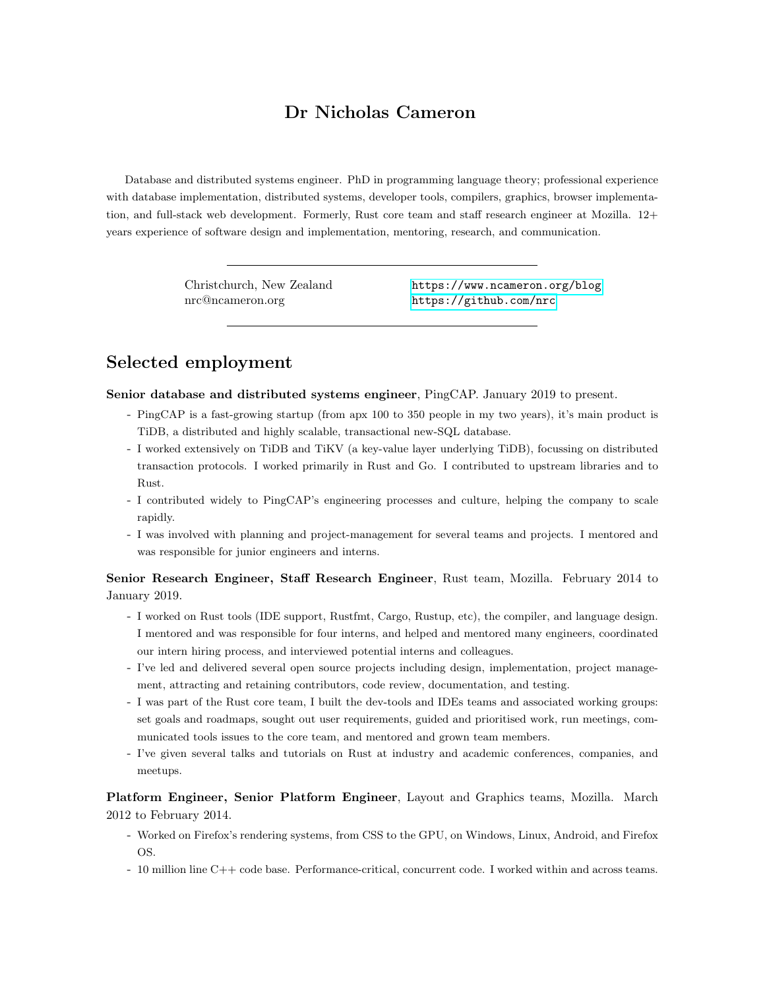## Dr Nicholas Cameron

Database and distributed systems engineer. PhD in programming language theory; professional experience with database implementation, distributed systems, developer tools, compilers, graphics, browser implementation, and full-stack web development. Formerly, Rust core team and staff research engineer at Mozilla. 12+ years experience of software design and implementation, mentoring, research, and communication.

nrc@ncameron.org <https://github.com/nrc>

Christchurch, New Zealand <https://www.ncameron.org/blog>

# Selected employment

Senior database and distributed systems engineer, PingCAP. January 2019 to present.

- PingCAP is a fast-growing startup (from apx 100 to 350 people in my two years), it's main product is TiDB, a distributed and highly scalable, transactional new-SQL database.
- I worked extensively on TiDB and TiKV (a key-value layer underlying TiDB), focussing on distributed transaction protocols. I worked primarily in Rust and Go. I contributed to upstream libraries and to Rust.
- I contributed widely to PingCAP's engineering processes and culture, helping the company to scale rapidly.
- I was involved with planning and project-management for several teams and projects. I mentored and was responsible for junior engineers and interns.

Senior Research Engineer, Staff Research Engineer, Rust team, Mozilla. February 2014 to January 2019.

- I worked on Rust tools (IDE support, Rustfmt, Cargo, Rustup, etc), the compiler, and language design. I mentored and was responsible for four interns, and helped and mentored many engineers, coordinated our intern hiring process, and interviewed potential interns and colleagues.
- I've led and delivered several open source projects including design, implementation, project management, attracting and retaining contributors, code review, documentation, and testing.
- I was part of the Rust core team, I built the dev-tools and IDEs teams and associated working groups: set goals and roadmaps, sought out user requirements, guided and prioritised work, run meetings, communicated tools issues to the core team, and mentored and grown team members.
- I've given several talks and tutorials on Rust at industry and academic conferences, companies, and meetups.

Platform Engineer, Senior Platform Engineer, Layout and Graphics teams, Mozilla. March 2012 to February 2014.

- Worked on Firefox's rendering systems, from CSS to the GPU, on Windows, Linux, Android, and Firefox OS.
- 10 million line C++ code base. Performance-critical, concurrent code. I worked within and across teams.